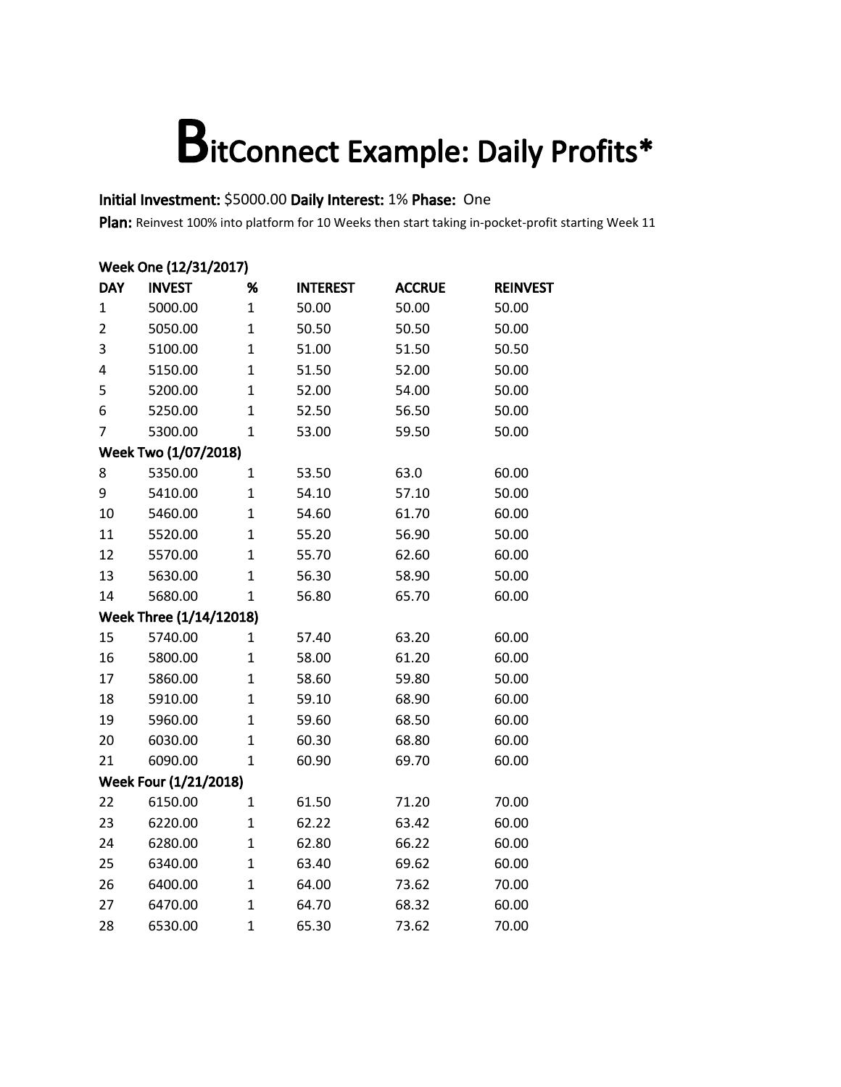#### Initial Investment: \$5000.00 Daily Interest: 1% Phase: One

|                | Week One (12/31/2017)   |              |                 |               |                 |  |  |  |
|----------------|-------------------------|--------------|-----------------|---------------|-----------------|--|--|--|
| <b>DAY</b>     | <b>INVEST</b>           | %            | <b>INTEREST</b> | <b>ACCRUE</b> | <b>REINVEST</b> |  |  |  |
| $\mathbf{1}$   | 5000.00                 | $\mathbf{1}$ | 50.00           | 50.00         | 50.00           |  |  |  |
| $\overline{2}$ | 5050.00                 | $\mathbf{1}$ | 50.50           | 50.50         | 50.00           |  |  |  |
| 3              | 5100.00                 | $\mathbf{1}$ | 51.00           | 51.50         | 50.50           |  |  |  |
| 4              | 5150.00                 | $\mathbf{1}$ | 51.50           | 52.00         | 50.00           |  |  |  |
| 5              | 5200.00                 | $\mathbf{1}$ | 52.00           | 54.00         | 50.00           |  |  |  |
| 6              | 5250.00                 | $\mathbf{1}$ | 52.50           | 56.50         | 50.00           |  |  |  |
| 7              | 5300.00                 | $\mathbf{1}$ | 53.00           | 59.50         | 50.00           |  |  |  |
|                | Week Two (1/07/2018)    |              |                 |               |                 |  |  |  |
| 8              | 5350.00                 | $\mathbf{1}$ | 53.50           | 63.0          | 60.00           |  |  |  |
| 9              | 5410.00                 | $\mathbf{1}$ | 54.10           | 57.10         | 50.00           |  |  |  |
| 10             | 5460.00                 | $\mathbf{1}$ | 54.60           | 61.70         | 60.00           |  |  |  |
| 11             | 5520.00                 | $\mathbf{1}$ | 55.20           | 56.90         | 50.00           |  |  |  |
| 12             | 5570.00                 | 1            | 55.70           | 62.60         | 60.00           |  |  |  |
| 13             | 5630.00                 | $\mathbf{1}$ | 56.30           | 58.90         | 50.00           |  |  |  |
| 14             | 5680.00                 | $\mathbf{1}$ | 56.80           | 65.70         | 60.00           |  |  |  |
|                | Week Three (1/14/12018) |              |                 |               |                 |  |  |  |
| 15             | 5740.00                 | 1            | 57.40           | 63.20         | 60.00           |  |  |  |
| 16             | 5800.00                 | $\mathbf{1}$ | 58.00           | 61.20         | 60.00           |  |  |  |
| 17             | 5860.00                 | $\mathbf{1}$ | 58.60           | 59.80         | 50.00           |  |  |  |
| 18             | 5910.00                 | $\mathbf{1}$ | 59.10           | 68.90         | 60.00           |  |  |  |
| 19             | 5960.00                 | $\mathbf{1}$ | 59.60           | 68.50         | 60.00           |  |  |  |
| 20             | 6030.00                 | $\mathbf{1}$ | 60.30           | 68.80         | 60.00           |  |  |  |
| 21             | 6090.00                 | $\mathbf{1}$ | 60.90           | 69.70         | 60.00           |  |  |  |
|                | Week Four (1/21/2018)   |              |                 |               |                 |  |  |  |
| 22             | 6150.00                 | $\mathbf{1}$ | 61.50           | 71.20         | 70.00           |  |  |  |
| 23             | 6220.00                 | $\mathbf{1}$ | 62.22           | 63.42         | 60.00           |  |  |  |
| 24             | 6280.00                 | $\mathbf{1}$ | 62.80           | 66.22         | 60.00           |  |  |  |
| 25             | 6340.00                 | $\mathbf{1}$ | 63.40           | 69.62         | 60.00           |  |  |  |
| 26             | 6400.00                 | $\mathbf{1}$ | 64.00           | 73.62         | 70.00           |  |  |  |
| 27             | 6470.00                 | $\mathbf{1}$ | 64.70           | 68.32         | 60.00           |  |  |  |
| 28             | 6530.00                 | $\mathbf{1}$ | 65.30           | 73.62         | 70.00           |  |  |  |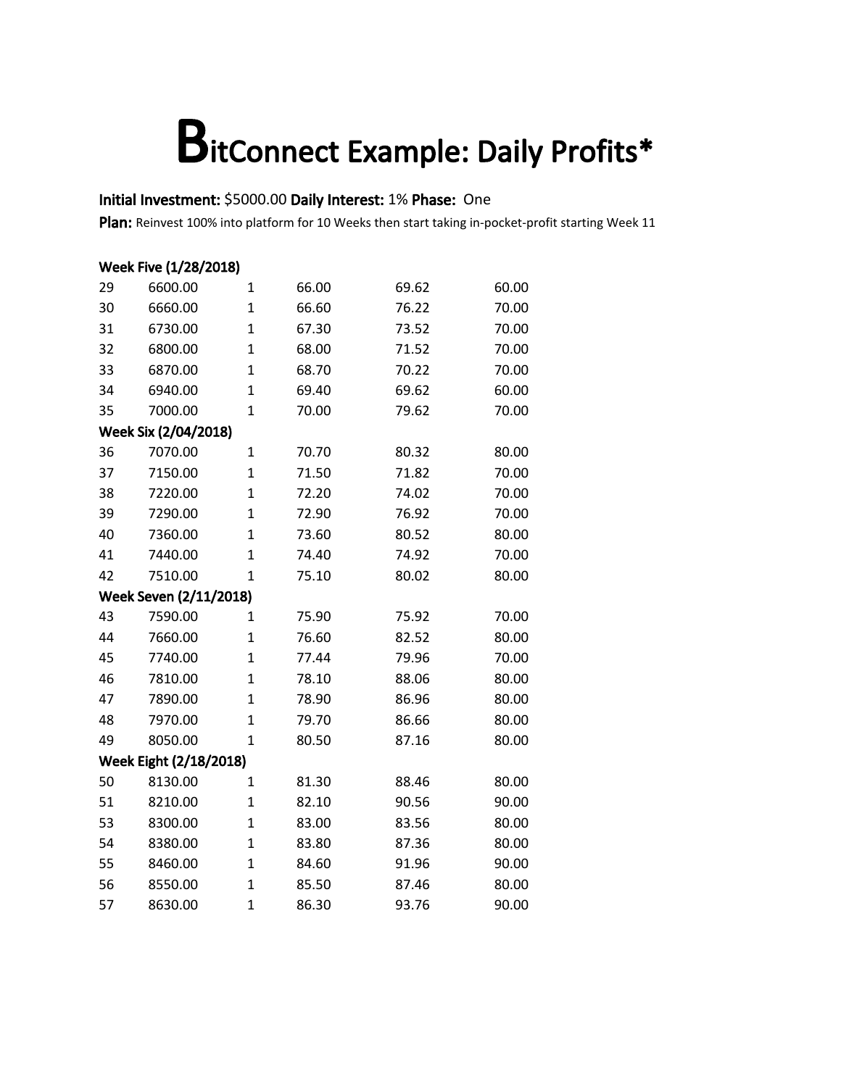#### Initial Investment: \$5000.00 Daily Interest: 1% Phase: One

Plan: Reinvest 100% into platform for 10 Weeks then start taking in-pocket-profit starting Week 11

#### Week Five (1/28/2018) 6600.00 1 66.00 69.62 60.00 6660.00 1 66.60 76.22 70.00 6730.00 1 67.30 73.52 70.00 6800.00 1 68.00 71.52 70.00 6870.00 1 68.70 70.22 70.00 6940.00 1 69.40 69.62 60.00 7000.00 1 70.00 79.62 70.00 Week Six (2/04/2018) 7070.00 1 70.70 80.32 80.00 7150.00 1 71.50 71.82 70.00 7220.00 1 72.20 74.02 70.00 7290.00 1 72.90 76.92 70.00 7360.00 1 73.60 80.52 80.00 7440.00 1 74.40 74.92 70.00 7510.00 1 75.10 80.02 80.00 Week Seven (2/11/2018) 7590.00 1 75.90 75.92 70.00 7660.00 1 76.60 82.52 80.00 7740.00 1 77.44 79.96 70.00 7810.00 1 78.10 88.06 80.00 7890.00 1 78.90 86.96 80.00 7970.00 1 79.70 86.66 80.00 8050.00 1 80.50 87.16 80.00 Week Eight (2/18/2018) 8130.00 1 81.30 88.46 80.00 8210.00 1 82.10 90.56 90.00 8300.00 1 83.00 83.56 80.00 8380.00 1 83.80 87.36 80.00 8460.00 1 84.60 91.96 90.00 8550.00 1 85.50 87.46 80.00 8630.00 1 86.30 93.76 90.00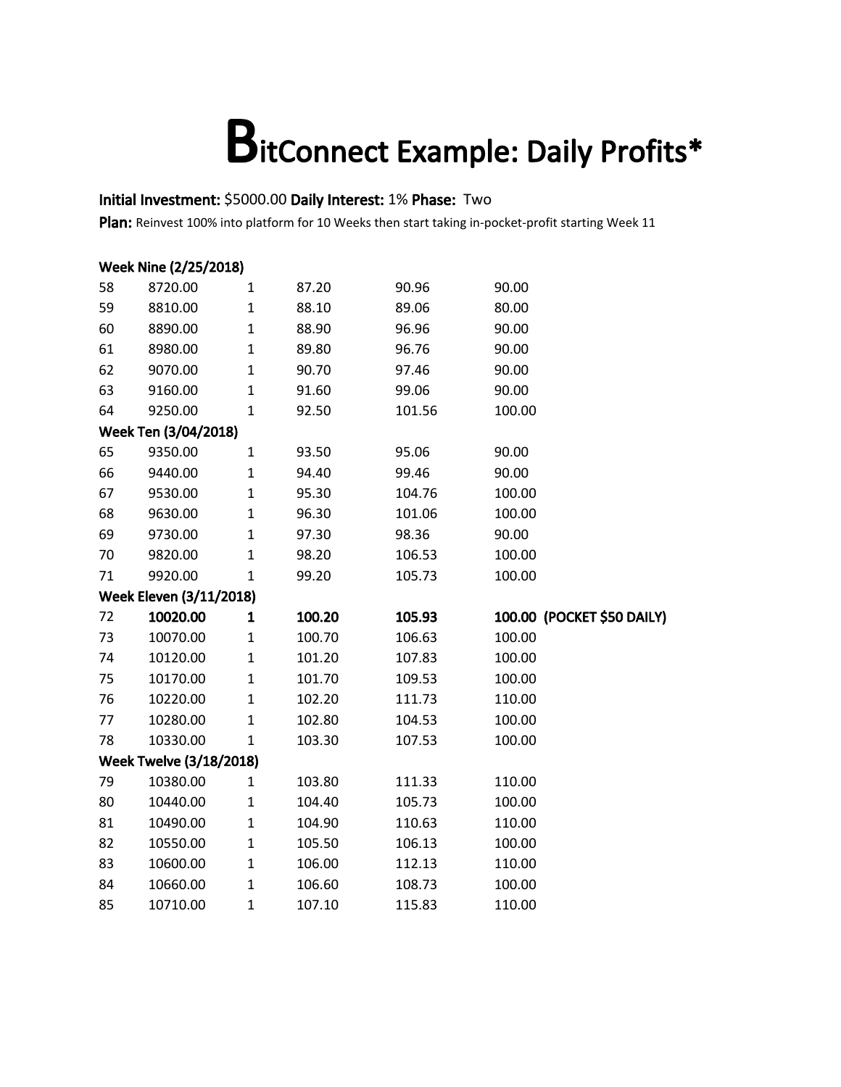#### Initial Investment: \$5000.00 Daily Interest: 1% Phase: Two

|    | Week Nine (2/25/2018)          |              |        |        |                            |  |  |  |  |
|----|--------------------------------|--------------|--------|--------|----------------------------|--|--|--|--|
| 58 | 8720.00                        | $\mathbf{1}$ | 87.20  | 90.96  | 90.00                      |  |  |  |  |
| 59 | 8810.00                        | $\mathbf{1}$ | 88.10  | 89.06  | 80.00                      |  |  |  |  |
| 60 | 8890.00                        | $\mathbf 1$  | 88.90  | 96.96  | 90.00                      |  |  |  |  |
| 61 | 8980.00                        | $\mathbf 1$  | 89.80  | 96.76  | 90.00                      |  |  |  |  |
| 62 | 9070.00                        | $\mathbf{1}$ | 90.70  | 97.46  | 90.00                      |  |  |  |  |
| 63 | 9160.00                        | $\mathbf 1$  | 91.60  | 99.06  | 90.00                      |  |  |  |  |
| 64 | 9250.00                        | $\mathbf 1$  | 92.50  | 101.56 | 100.00                     |  |  |  |  |
|    | Week Ten (3/04/2018)           |              |        |        |                            |  |  |  |  |
| 65 | 9350.00                        | $\mathbf{1}$ | 93.50  | 95.06  | 90.00                      |  |  |  |  |
| 66 | 9440.00                        | $\mathbf 1$  | 94.40  | 99.46  | 90.00                      |  |  |  |  |
| 67 | 9530.00                        | $\mathbf 1$  | 95.30  | 104.76 | 100.00                     |  |  |  |  |
| 68 | 9630.00                        | $\mathbf 1$  | 96.30  | 101.06 | 100.00                     |  |  |  |  |
| 69 | 9730.00                        | $\mathbf 1$  | 97.30  | 98.36  | 90.00                      |  |  |  |  |
| 70 | 9820.00                        | $\mathbf 1$  | 98.20  | 106.53 | 100.00                     |  |  |  |  |
| 71 | 9920.00                        | $\mathbf{1}$ | 99.20  | 105.73 | 100.00                     |  |  |  |  |
|    | <b>Week Eleven (3/11/2018)</b> |              |        |        |                            |  |  |  |  |
| 72 | 10020.00                       | $\mathbf{1}$ | 100.20 | 105.93 | 100.00 (POCKET \$50 DAILY) |  |  |  |  |
| 73 | 10070.00                       | $\mathbf{1}$ | 100.70 | 106.63 | 100.00                     |  |  |  |  |
| 74 | 10120.00                       | $\mathbf{1}$ | 101.20 | 107.83 | 100.00                     |  |  |  |  |
| 75 | 10170.00                       | $\mathbf 1$  | 101.70 | 109.53 | 100.00                     |  |  |  |  |
| 76 | 10220.00                       | $\mathbf 1$  | 102.20 | 111.73 | 110.00                     |  |  |  |  |
| 77 | 10280.00                       | $\mathbf{1}$ | 102.80 | 104.53 | 100.00                     |  |  |  |  |
| 78 | 10330.00                       | $\mathbf{1}$ | 103.30 | 107.53 | 100.00                     |  |  |  |  |
|    | <b>Week Twelve (3/18/2018)</b> |              |        |        |                            |  |  |  |  |
| 79 | 10380.00                       | $\mathbf 1$  | 103.80 | 111.33 | 110.00                     |  |  |  |  |
| 80 | 10440.00                       | $\mathbf 1$  | 104.40 | 105.73 | 100.00                     |  |  |  |  |
| 81 | 10490.00                       | $\mathbf 1$  | 104.90 | 110.63 | 110.00                     |  |  |  |  |
| 82 | 10550.00                       | $\mathbf 1$  | 105.50 | 106.13 | 100.00                     |  |  |  |  |
| 83 | 10600.00                       | $\mathbf 1$  | 106.00 | 112.13 | 110.00                     |  |  |  |  |
| 84 | 10660.00                       | $\mathbf 1$  | 106.60 | 108.73 | 100.00                     |  |  |  |  |
| 85 | 10710.00                       | $\mathbf{1}$ | 107.10 | 115.83 | 110.00                     |  |  |  |  |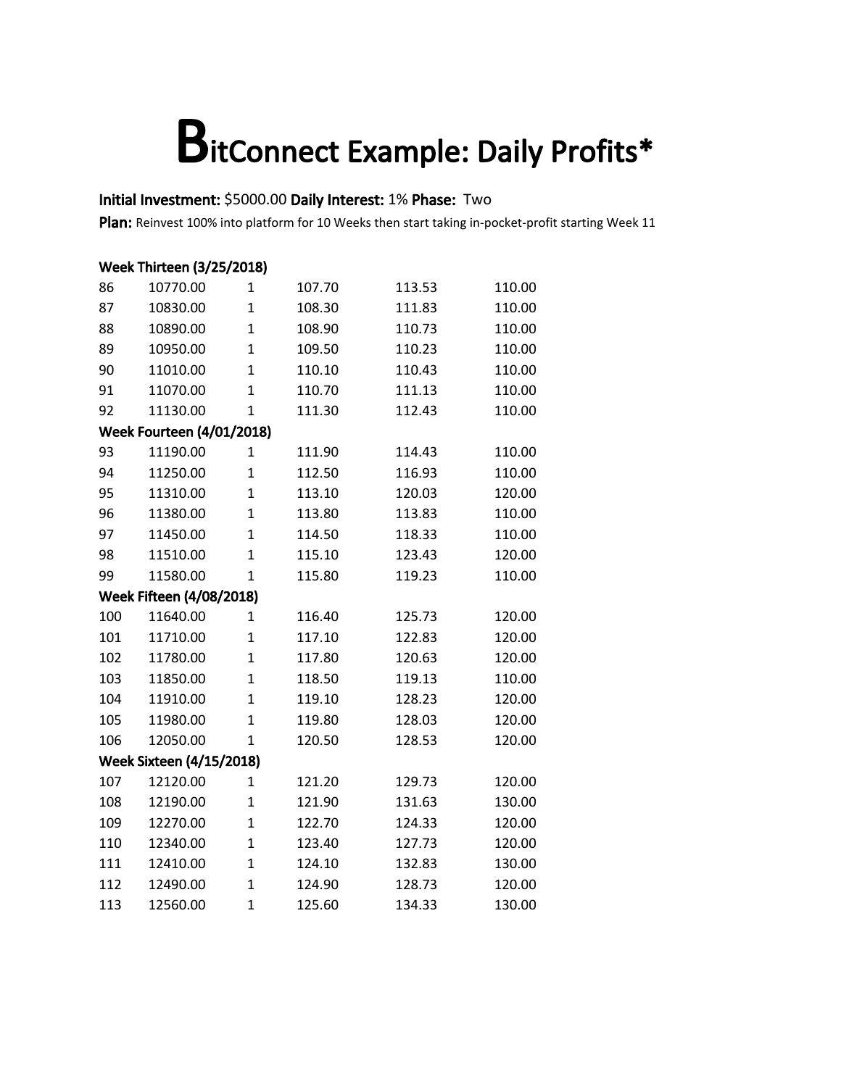#### Initial Investment: \$5000.00 Daily Interest: 1% Phase: Two

|     | <b>Week Thirteen (3/25/2018)</b> |                |        |        |        |  |  |  |
|-----|----------------------------------|----------------|--------|--------|--------|--|--|--|
| 86  | 10770.00                         | $\mathbf{1}$   | 107.70 | 113.53 | 110.00 |  |  |  |
| 87  | 10830.00                         | $\mathbf{1}$   | 108.30 | 111.83 | 110.00 |  |  |  |
| 88  | 10890.00                         | $\mathbf{1}$   | 108.90 | 110.73 | 110.00 |  |  |  |
| 89  | 10950.00                         | $\mathbf{1}$   | 109.50 | 110.23 | 110.00 |  |  |  |
| 90  | 11010.00                         | $\mathbf{1}$   | 110.10 | 110.43 | 110.00 |  |  |  |
| 91  | 11070.00                         | $\mathbf{1}$   | 110.70 | 111.13 | 110.00 |  |  |  |
| 92  | 11130.00                         | $\mathbf{1}$   | 111.30 | 112.43 | 110.00 |  |  |  |
|     | <b>Week Fourteen (4/01/2018)</b> |                |        |        |        |  |  |  |
| 93  | 11190.00                         | $\mathbf{1}$   | 111.90 | 114.43 | 110.00 |  |  |  |
| 94  | 11250.00                         | $\mathbf{1}$   | 112.50 | 116.93 | 110.00 |  |  |  |
| 95  | 11310.00                         | $\mathbf{1}$   | 113.10 | 120.03 | 120.00 |  |  |  |
| 96  | 11380.00                         | $\mathbf{1}$   | 113.80 | 113.83 | 110.00 |  |  |  |
| 97  | 11450.00                         | $\mathbf{1}$   | 114.50 | 118.33 | 110.00 |  |  |  |
| 98  | 11510.00                         | $\mathbf{1}$   | 115.10 | 123.43 | 120.00 |  |  |  |
| 99  | 11580.00                         | $\mathbf{1}$   | 115.80 | 119.23 | 110.00 |  |  |  |
|     | <b>Week Fifteen (4/08/2018)</b>  |                |        |        |        |  |  |  |
| 100 | 11640.00                         | $\mathbf{1}$   | 116.40 | 125.73 | 120.00 |  |  |  |
| 101 | 11710.00                         | $\mathbf{1}$   | 117.10 | 122.83 | 120.00 |  |  |  |
| 102 | 11780.00                         | $\mathbf{1}$   | 117.80 | 120.63 | 120.00 |  |  |  |
| 103 | 11850.00                         | $\mathbf{1}$   | 118.50 | 119.13 | 110.00 |  |  |  |
| 104 | 11910.00                         | $\mathbf{1}$   | 119.10 | 128.23 | 120.00 |  |  |  |
| 105 | 11980.00                         | $\overline{1}$ | 119.80 | 128.03 | 120.00 |  |  |  |
| 106 | 12050.00                         | $\mathbf{1}$   | 120.50 | 128.53 | 120.00 |  |  |  |
|     | <b>Week Sixteen (4/15/2018)</b>  |                |        |        |        |  |  |  |
| 107 | 12120.00                         | $\mathbf{1}$   | 121.20 | 129.73 | 120.00 |  |  |  |
| 108 | 12190.00                         | $\mathbf{1}$   | 121.90 | 131.63 | 130.00 |  |  |  |
| 109 | 12270.00                         | $\mathbf{1}$   | 122.70 | 124.33 | 120.00 |  |  |  |
| 110 | 12340.00                         | $\mathbf{1}$   | 123.40 | 127.73 | 120.00 |  |  |  |
| 111 | 12410.00                         | $\mathbf{1}$   | 124.10 | 132.83 | 130.00 |  |  |  |
| 112 | 12490.00                         | $\overline{1}$ | 124.90 | 128.73 | 120.00 |  |  |  |
| 113 | 12560.00                         | $\overline{1}$ | 125.60 | 134.33 | 130.00 |  |  |  |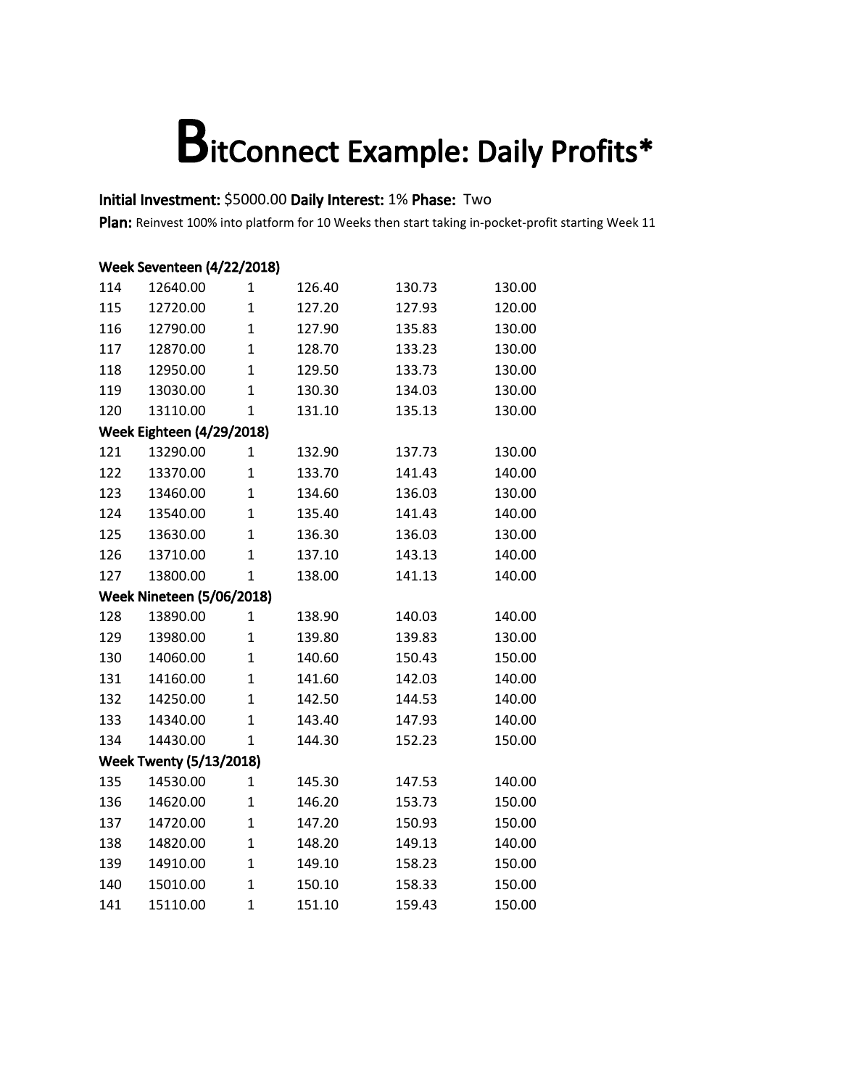#### Initial Investment: \$5000.00 Daily Interest: 1% Phase: Two

|     | Week Seventeen (4/22/2018)       |                |        |        |        |  |  |  |  |
|-----|----------------------------------|----------------|--------|--------|--------|--|--|--|--|
| 114 | 12640.00                         | 1              | 126.40 | 130.73 | 130.00 |  |  |  |  |
| 115 | 12720.00                         | $\overline{1}$ | 127.20 | 127.93 | 120.00 |  |  |  |  |
| 116 | 12790.00                         | $\overline{1}$ | 127.90 | 135.83 | 130.00 |  |  |  |  |
| 117 | 12870.00                         | $\overline{1}$ | 128.70 | 133.23 | 130.00 |  |  |  |  |
| 118 | 12950.00                         | $\overline{1}$ | 129.50 | 133.73 | 130.00 |  |  |  |  |
| 119 | 13030.00                         | $\overline{1}$ | 130.30 | 134.03 | 130.00 |  |  |  |  |
| 120 | 13110.00                         | $\mathbf{1}$   | 131.10 | 135.13 | 130.00 |  |  |  |  |
|     | <b>Week Eighteen (4/29/2018)</b> |                |        |        |        |  |  |  |  |
| 121 | 13290.00                         | $\mathbf{1}$   | 132.90 | 137.73 | 130.00 |  |  |  |  |
| 122 | 13370.00                         | $\overline{1}$ | 133.70 | 141.43 | 140.00 |  |  |  |  |
| 123 | 13460.00                         | $\mathbf{1}$   | 134.60 | 136.03 | 130.00 |  |  |  |  |
| 124 | 13540.00                         | $\overline{1}$ | 135.40 | 141.43 | 140.00 |  |  |  |  |
| 125 | 13630.00                         | $\overline{1}$ | 136.30 | 136.03 | 130.00 |  |  |  |  |
| 126 | 13710.00                         | $\mathbf{1}$   | 137.10 | 143.13 | 140.00 |  |  |  |  |
| 127 | 13800.00                         | $\overline{1}$ | 138.00 | 141.13 | 140.00 |  |  |  |  |
|     | <b>Week Nineteen (5/06/2018)</b> |                |        |        |        |  |  |  |  |
| 128 | 13890.00                         | 1              | 138.90 | 140.03 | 140.00 |  |  |  |  |
| 129 | 13980.00                         | $\overline{1}$ | 139.80 | 139.83 | 130.00 |  |  |  |  |
| 130 | 14060.00                         | $\overline{1}$ | 140.60 | 150.43 | 150.00 |  |  |  |  |
| 131 | 14160.00                         | $\mathbf{1}$   | 141.60 | 142.03 | 140.00 |  |  |  |  |
| 132 | 14250.00                         | $\mathbf{1}$   | 142.50 | 144.53 | 140.00 |  |  |  |  |
| 133 | 14340.00                         | $\overline{1}$ | 143.40 | 147.93 | 140.00 |  |  |  |  |
| 134 | 14430.00                         | $\overline{1}$ | 144.30 | 152.23 | 150.00 |  |  |  |  |
|     | <b>Week Twenty (5/13/2018)</b>   |                |        |        |        |  |  |  |  |
| 135 | 14530.00                         | $\overline{1}$ | 145.30 | 147.53 | 140.00 |  |  |  |  |
| 136 | 14620.00                         | $\overline{1}$ | 146.20 | 153.73 | 150.00 |  |  |  |  |
| 137 | 14720.00                         | $\mathbf{1}$   | 147.20 | 150.93 | 150.00 |  |  |  |  |
| 138 | 14820.00                         | $\overline{1}$ | 148.20 | 149.13 | 140.00 |  |  |  |  |
| 139 | 14910.00                         | $\overline{1}$ | 149.10 | 158.23 | 150.00 |  |  |  |  |
| 140 | 15010.00                         | $\mathbf{1}$   | 150.10 | 158.33 | 150.00 |  |  |  |  |
| 141 | 15110.00                         | $\mathbf{1}$   | 151.10 | 159.43 | 150.00 |  |  |  |  |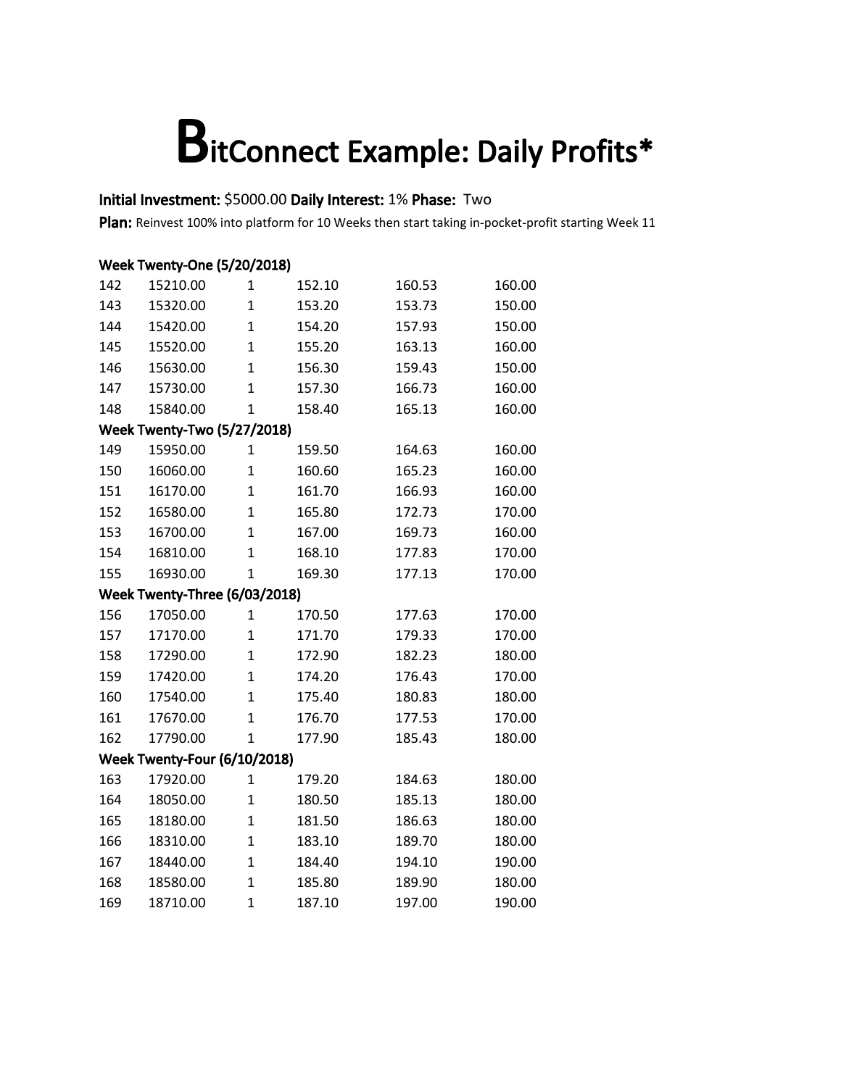#### Initial Investment: \$5000.00 Daily Interest: 1% Phase: Two

|     | <b>Week Twenty-One (5/20/2018)</b> |                |        |        |        |  |  |
|-----|------------------------------------|----------------|--------|--------|--------|--|--|
| 142 | 15210.00                           | $\mathbf{1}$   | 152.10 | 160.53 | 160.00 |  |  |
| 143 | 15320.00                           | $\mathbf{1}$   | 153.20 | 153.73 | 150.00 |  |  |
| 144 | 15420.00                           | $\mathbf{1}$   | 154.20 | 157.93 | 150.00 |  |  |
| 145 | 15520.00                           | $\mathbf{1}$   | 155.20 | 163.13 | 160.00 |  |  |
| 146 | 15630.00                           | $\overline{1}$ | 156.30 | 159.43 | 150.00 |  |  |
| 147 | 15730.00                           | $\mathbf{1}$   | 157.30 | 166.73 | 160.00 |  |  |
| 148 | 15840.00                           | $\mathbf{1}$   | 158.40 | 165.13 | 160.00 |  |  |
|     | <b>Week Twenty-Two (5/27/2018)</b> |                |        |        |        |  |  |
| 149 | 15950.00                           | $\mathbf{1}$   | 159.50 | 164.63 | 160.00 |  |  |
| 150 | 16060.00                           | $\mathbf{1}$   | 160.60 | 165.23 | 160.00 |  |  |
| 151 | 16170.00                           | $\mathbf{1}$   | 161.70 | 166.93 | 160.00 |  |  |
| 152 | 16580.00                           | $\overline{1}$ | 165.80 | 172.73 | 170.00 |  |  |
| 153 | 16700.00                           | $\overline{1}$ | 167.00 | 169.73 | 160.00 |  |  |
| 154 | 16810.00                           | $\mathbf{1}$   | 168.10 | 177.83 | 170.00 |  |  |
| 155 | 16930.00                           | $\overline{1}$ | 169.30 | 177.13 | 170.00 |  |  |
|     | Week Twenty-Three (6/03/2018)      |                |        |        |        |  |  |
| 156 | 17050.00                           | 1              | 170.50 | 177.63 | 170.00 |  |  |
| 157 | 17170.00                           | $\mathbf{1}$   | 171.70 | 179.33 | 170.00 |  |  |
| 158 | 17290.00                           | $\mathbf{1}$   | 172.90 | 182.23 | 180.00 |  |  |
| 159 | 17420.00                           | $\overline{1}$ | 174.20 | 176.43 | 170.00 |  |  |
| 160 | 17540.00                           | $\overline{1}$ | 175.40 | 180.83 | 180.00 |  |  |
| 161 | 17670.00                           | $\overline{1}$ | 176.70 | 177.53 | 170.00 |  |  |
| 162 | 17790.00                           | 1              | 177.90 | 185.43 | 180.00 |  |  |
|     | Week Twenty-Four (6/10/2018)       |                |        |        |        |  |  |
| 163 | 17920.00                           | $\mathbf{1}$   | 179.20 | 184.63 | 180.00 |  |  |
| 164 | 18050.00                           | $\mathbf{1}$   | 180.50 | 185.13 | 180.00 |  |  |
| 165 | 18180.00                           | $\overline{1}$ | 181.50 | 186.63 | 180.00 |  |  |
| 166 | 18310.00                           | $\overline{1}$ | 183.10 | 189.70 | 180.00 |  |  |
| 167 | 18440.00                           | $\mathbf{1}$   | 184.40 | 194.10 | 190.00 |  |  |
| 168 | 18580.00                           | $\mathbf{1}$   | 185.80 | 189.90 | 180.00 |  |  |
| 169 | 18710.00                           | $\overline{1}$ | 187.10 | 197.00 | 190.00 |  |  |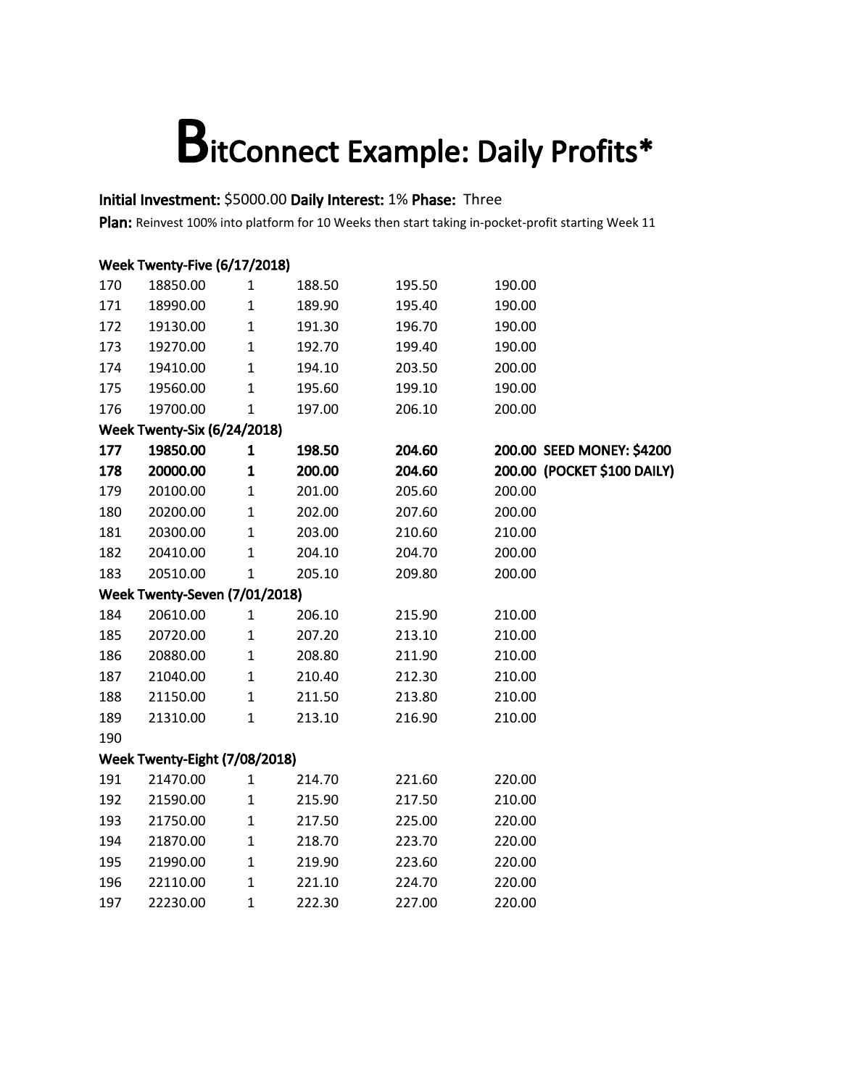#### Initial Investment: \$5000.00 Daily Interest: 1% Phase: Three

|     | Week Twenty-Five (6/17/2018)       |              |        |        |                             |  |  |  |
|-----|------------------------------------|--------------|--------|--------|-----------------------------|--|--|--|
| 170 | 18850.00                           | $\mathbf{1}$ | 188.50 | 195.50 | 190.00                      |  |  |  |
| 171 | 18990.00                           | $\mathbf 1$  | 189.90 | 195.40 | 190.00                      |  |  |  |
| 172 | 19130.00                           | $\mathbf 1$  | 191.30 | 196.70 | 190.00                      |  |  |  |
| 173 | 19270.00                           | $\mathbf{1}$ | 192.70 | 199.40 | 190.00                      |  |  |  |
| 174 | 19410.00                           | $\mathbf 1$  | 194.10 | 203.50 | 200.00                      |  |  |  |
| 175 | 19560.00                           | $\mathbf{1}$ | 195.60 | 199.10 | 190.00                      |  |  |  |
| 176 | 19700.00                           | $\mathbf 1$  | 197.00 | 206.10 | 200.00                      |  |  |  |
|     | <b>Week Twenty-Six (6/24/2018)</b> |              |        |        |                             |  |  |  |
| 177 | 19850.00                           | $\mathbf 1$  | 198.50 | 204.60 | 200.00 SEED MONEY: \$4200   |  |  |  |
| 178 | 20000.00                           | $\mathbf{1}$ | 200.00 | 204.60 | 200.00 (POCKET \$100 DAILY) |  |  |  |
| 179 | 20100.00                           | $\mathbf 1$  | 201.00 | 205.60 | 200.00                      |  |  |  |
| 180 | 20200.00                           | $\mathbf 1$  | 202.00 | 207.60 | 200.00                      |  |  |  |
| 181 | 20300.00                           | $\mathbf 1$  | 203.00 | 210.60 | 210.00                      |  |  |  |
| 182 | 20410.00                           | $\mathbf 1$  | 204.10 | 204.70 | 200.00                      |  |  |  |
| 183 | 20510.00                           | $\mathbf{1}$ | 205.10 | 209.80 | 200.00                      |  |  |  |
|     | Week Twenty-Seven (7/01/2018)      |              |        |        |                             |  |  |  |
| 184 | 20610.00                           | $\mathbf{1}$ | 206.10 | 215.90 | 210.00                      |  |  |  |
| 185 | 20720.00                           | $\mathbf 1$  | 207.20 | 213.10 | 210.00                      |  |  |  |
| 186 | 20880.00                           | $\mathbf 1$  | 208.80 | 211.90 | 210.00                      |  |  |  |
| 187 | 21040.00                           | $\mathbf 1$  | 210.40 | 212.30 | 210.00                      |  |  |  |
| 188 | 21150.00                           | $\mathbf{1}$ | 211.50 | 213.80 | 210.00                      |  |  |  |
| 189 | 21310.00                           | $\mathbf 1$  | 213.10 | 216.90 | 210.00                      |  |  |  |
| 190 |                                    |              |        |        |                             |  |  |  |
|     | Week Twenty-Eight (7/08/2018)      |              |        |        |                             |  |  |  |
| 191 | 21470.00                           | $\mathbf{1}$ | 214.70 | 221.60 | 220.00                      |  |  |  |
| 192 | 21590.00                           | $\mathbf 1$  | 215.90 | 217.50 | 210.00                      |  |  |  |
| 193 | 21750.00                           | $\mathbf 1$  | 217.50 | 225.00 | 220.00                      |  |  |  |
| 194 | 21870.00                           | $\mathbf 1$  | 218.70 | 223.70 | 220.00                      |  |  |  |
| 195 | 21990.00                           | $\mathbf 1$  | 219.90 | 223.60 | 220.00                      |  |  |  |
| 196 | 22110.00                           | $\mathbf 1$  | 221.10 | 224.70 | 220.00                      |  |  |  |
| 197 | 22230.00                           | $\mathbf{1}$ | 222.30 | 227.00 | 220.00                      |  |  |  |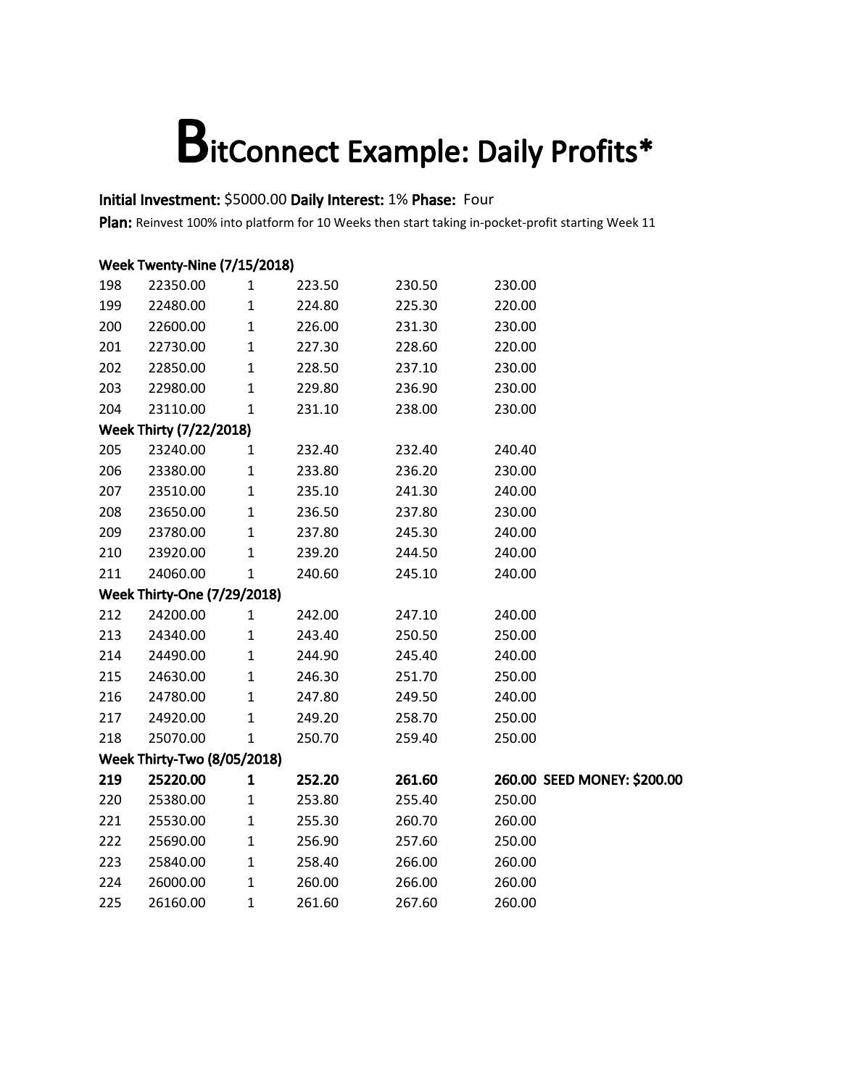#### Initial Investment: \$5000.00 Daily Interest: 1% Phase: Four

|     | <b>Week Twenty-Nine (7/15/2018)</b> |              |        |        |                             |  |  |  |
|-----|-------------------------------------|--------------|--------|--------|-----------------------------|--|--|--|
| 198 | 22350.00                            | $\mathbf{1}$ | 223.50 | 230.50 | 230.00                      |  |  |  |
| 199 | 22480.00                            | $\mathbf{1}$ | 224.80 | 225.30 | 220.00                      |  |  |  |
| 200 | 22600.00                            | $\mathbf 1$  | 226.00 | 231.30 | 230.00                      |  |  |  |
| 201 | 22730.00                            | $\mathbf 1$  | 227.30 | 228.60 | 220.00                      |  |  |  |
| 202 | 22850.00                            | $\mathbf 1$  | 228.50 | 237.10 | 230.00                      |  |  |  |
| 203 | 22980.00                            | $\mathbf 1$  | 229.80 | 236.90 | 230.00                      |  |  |  |
| 204 | 23110.00                            | $\mathbf 1$  | 231.10 | 238.00 | 230.00                      |  |  |  |
|     | <b>Week Thirty (7/22/2018)</b>      |              |        |        |                             |  |  |  |
| 205 | 23240.00                            | $\mathbf{1}$ | 232.40 | 232.40 | 240.40                      |  |  |  |
| 206 | 23380.00                            | $\mathbf 1$  | 233.80 | 236.20 | 230.00                      |  |  |  |
| 207 | 23510.00                            | $\mathbf 1$  | 235.10 | 241.30 | 240.00                      |  |  |  |
| 208 | 23650.00                            | $\mathbf 1$  | 236.50 | 237.80 | 230.00                      |  |  |  |
| 209 | 23780.00                            | $\mathbf 1$  | 237.80 | 245.30 | 240.00                      |  |  |  |
| 210 | 23920.00                            | $\mathbf 1$  | 239.20 | 244.50 | 240.00                      |  |  |  |
| 211 | 24060.00                            | $\mathbf{1}$ | 240.60 | 245.10 | 240.00                      |  |  |  |
|     | <b>Week Thirty-One (7/29/2018)</b>  |              |        |        |                             |  |  |  |
| 212 | 24200.00                            | $\mathbf{1}$ | 242.00 | 247.10 | 240.00                      |  |  |  |
| 213 | 24340.00                            | $\mathbf 1$  | 243.40 | 250.50 | 250.00                      |  |  |  |
| 214 | 24490.00                            | $\mathbf{1}$ | 244.90 | 245.40 | 240.00                      |  |  |  |
| 215 | 24630.00                            | $\mathbf 1$  | 246.30 | 251.70 | 250.00                      |  |  |  |
| 216 | 24780.00                            | $\mathbf 1$  | 247.80 | 249.50 | 240.00                      |  |  |  |
| 217 | 24920.00                            | $\mathbf{1}$ | 249.20 | 258.70 | 250.00                      |  |  |  |
| 218 | 25070.00                            | $\mathbf{1}$ | 250.70 | 259.40 | 250.00                      |  |  |  |
|     | <b>Week Thirty-Two (8/05/2018)</b>  |              |        |        |                             |  |  |  |
| 219 | 25220.00                            | $\mathbf{1}$ | 252.20 | 261.60 | 260.00 SEED MONEY: \$200.00 |  |  |  |
| 220 | 25380.00                            | $\mathbf 1$  | 253.80 | 255.40 | 250.00                      |  |  |  |
| 221 | 25530.00                            | $\mathbf 1$  | 255.30 | 260.70 | 260.00                      |  |  |  |
| 222 | 25690.00                            | $\mathbf 1$  | 256.90 | 257.60 | 250.00                      |  |  |  |
| 223 | 25840.00                            | $\mathbf 1$  | 258.40 | 266.00 | 260.00                      |  |  |  |
| 224 | 26000.00                            | $\mathbf 1$  | 260.00 | 266.00 | 260.00                      |  |  |  |
| 225 | 26160.00                            | $\mathbf{1}$ | 261.60 | 267.60 | 260.00                      |  |  |  |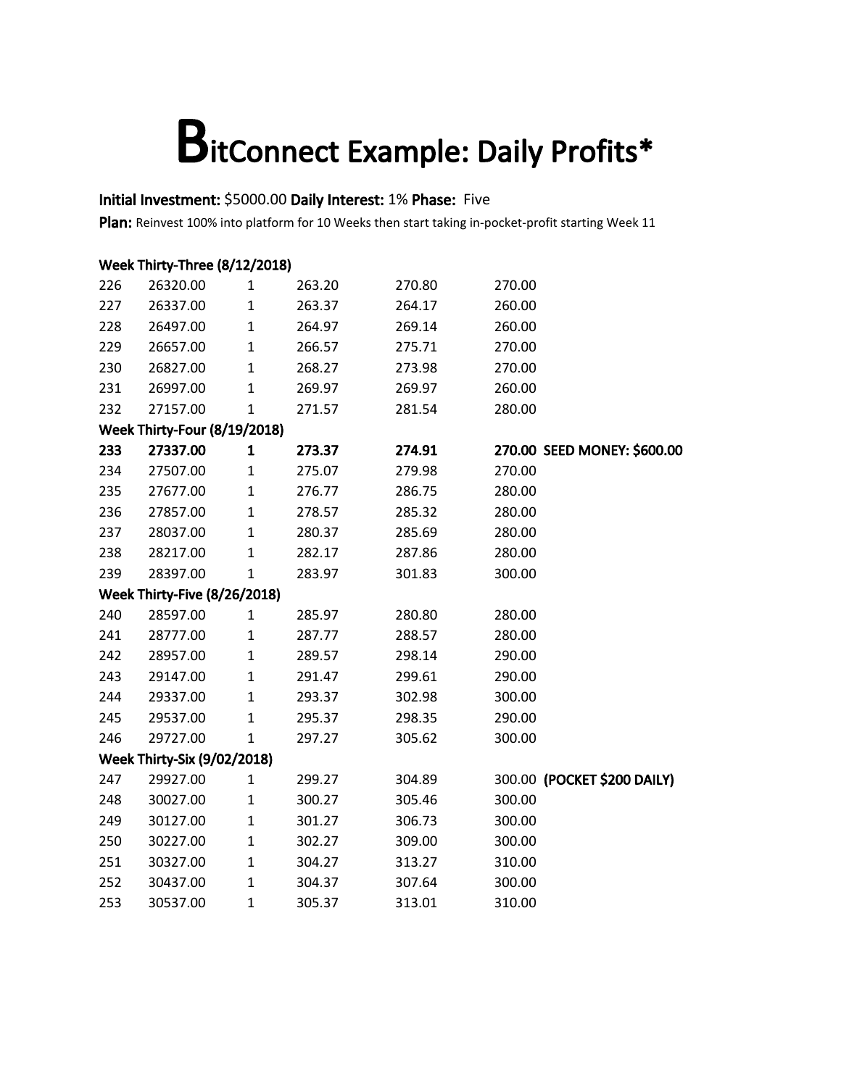#### Initial Investment: \$5000.00 Daily Interest: 1% Phase: Five

|     | Week Thirty-Three (8/12/2018)       |              |        |        |        |                             |  |  |
|-----|-------------------------------------|--------------|--------|--------|--------|-----------------------------|--|--|
| 226 | 26320.00                            | $\mathbf{1}$ | 263.20 | 270.80 | 270.00 |                             |  |  |
| 227 | 26337.00                            | $\mathbf 1$  | 263.37 | 264.17 | 260.00 |                             |  |  |
| 228 | 26497.00                            | $\mathbf{1}$ | 264.97 | 269.14 | 260.00 |                             |  |  |
| 229 | 26657.00                            | $\mathbf{1}$ | 266.57 | 275.71 | 270.00 |                             |  |  |
| 230 | 26827.00                            | $\mathbf{1}$ | 268.27 | 273.98 | 270.00 |                             |  |  |
| 231 | 26997.00                            | $\mathbf{1}$ | 269.97 | 269.97 | 260.00 |                             |  |  |
| 232 | 27157.00                            | $\mathbf{1}$ | 271.57 | 281.54 | 280.00 |                             |  |  |
|     | Week Thirty-Four (8/19/2018)        |              |        |        |        |                             |  |  |
| 233 | 27337.00                            | $\mathbf{1}$ | 273.37 | 274.91 |        | 270.00 SEED MONEY: \$600.00 |  |  |
| 234 | 27507.00                            | $\mathbf{1}$ | 275.07 | 279.98 | 270.00 |                             |  |  |
| 235 | 27677.00                            | $\mathbf{1}$ | 276.77 | 286.75 | 280.00 |                             |  |  |
| 236 | 27857.00                            | $\mathbf{1}$ | 278.57 | 285.32 | 280.00 |                             |  |  |
| 237 | 28037.00                            | $\mathbf{1}$ | 280.37 | 285.69 | 280.00 |                             |  |  |
| 238 | 28217.00                            | $\mathbf{1}$ | 282.17 | 287.86 | 280.00 |                             |  |  |
| 239 | 28397.00                            | $\mathbf{1}$ | 283.97 | 301.83 | 300.00 |                             |  |  |
|     | <b>Week Thirty-Five (8/26/2018)</b> |              |        |        |        |                             |  |  |
| 240 | 28597.00                            | $\mathbf{1}$ | 285.97 | 280.80 | 280.00 |                             |  |  |
| 241 | 28777.00                            | $\mathbf{1}$ | 287.77 | 288.57 | 280.00 |                             |  |  |
| 242 | 28957.00                            | $\mathbf{1}$ | 289.57 | 298.14 | 290.00 |                             |  |  |
| 243 | 29147.00                            | $\mathbf{1}$ | 291.47 | 299.61 | 290.00 |                             |  |  |
| 244 | 29337.00                            | $\mathbf{1}$ | 293.37 | 302.98 | 300.00 |                             |  |  |
| 245 | 29537.00                            | $\mathbf{1}$ | 295.37 | 298.35 | 290.00 |                             |  |  |
| 246 | 29727.00                            | $\mathbf{1}$ | 297.27 | 305.62 | 300.00 |                             |  |  |
|     | <b>Week Thirty-Six (9/02/2018)</b>  |              |        |        |        |                             |  |  |
| 247 | 29927.00                            | $\mathbf{1}$ | 299.27 | 304.89 |        | 300.00 (POCKET \$200 DAILY) |  |  |
| 248 | 30027.00                            | $\mathbf 1$  | 300.27 | 305.46 | 300.00 |                             |  |  |
| 249 | 30127.00                            | $\mathbf{1}$ | 301.27 | 306.73 | 300.00 |                             |  |  |
| 250 | 30227.00                            | $\mathbf 1$  | 302.27 | 309.00 | 300.00 |                             |  |  |
| 251 | 30327.00                            | $\mathbf{1}$ | 304.27 | 313.27 | 310.00 |                             |  |  |
| 252 | 30437.00                            | $\mathbf{1}$ | 304.37 | 307.64 | 300.00 |                             |  |  |
| 253 | 30537.00                            | $\mathbf{1}$ | 305.37 | 313.01 | 310.00 |                             |  |  |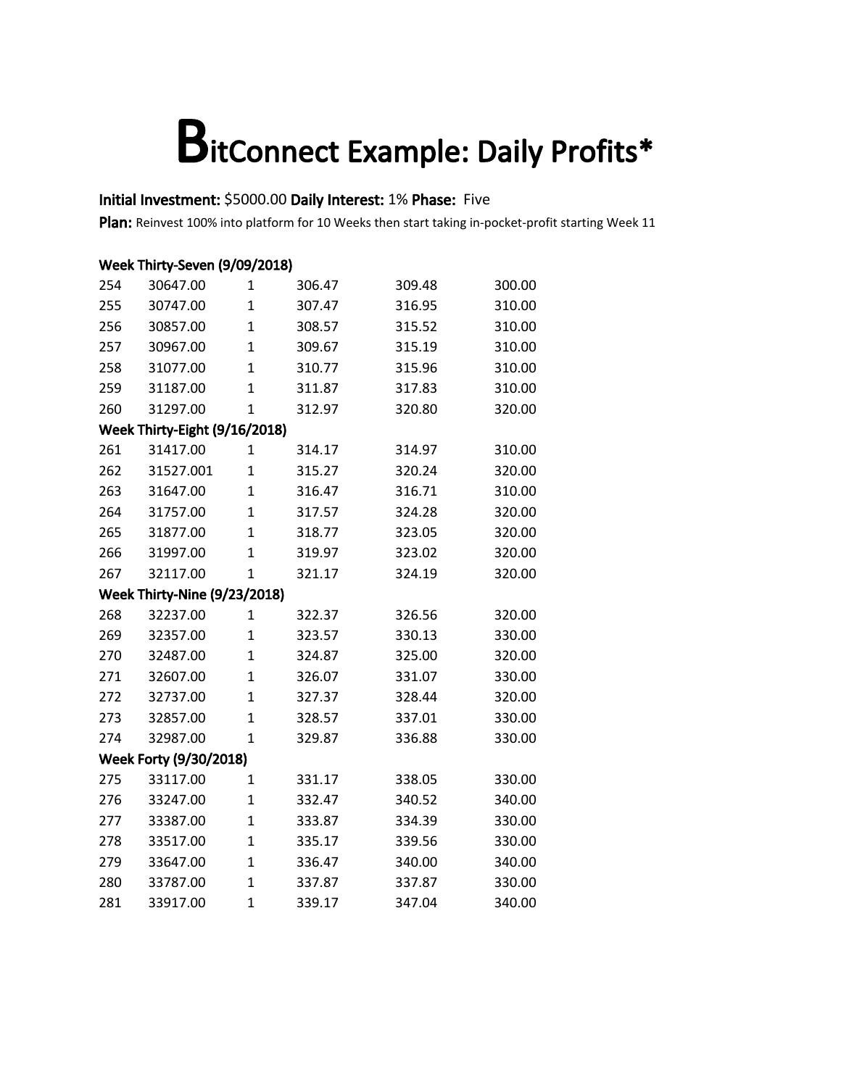#### Initial Investment: \$5000.00 Daily Interest: 1% Phase: Five

|     | Week Thirty-Seven (9/09/2018) |                |        |        |        |  |  |  |  |
|-----|-------------------------------|----------------|--------|--------|--------|--|--|--|--|
| 254 | 30647.00                      | $\mathbf 1$    | 306.47 | 309.48 | 300.00 |  |  |  |  |
| 255 | 30747.00                      | $\mathbf{1}$   | 307.47 | 316.95 | 310.00 |  |  |  |  |
| 256 | 30857.00                      | $\mathbf{1}$   | 308.57 | 315.52 | 310.00 |  |  |  |  |
| 257 | 30967.00                      | $\mathbf{1}$   | 309.67 | 315.19 | 310.00 |  |  |  |  |
| 258 | 31077.00                      | $\mathbf{1}$   | 310.77 | 315.96 | 310.00 |  |  |  |  |
| 259 | 31187.00                      | $\mathbf{1}$   | 311.87 | 317.83 | 310.00 |  |  |  |  |
| 260 | 31297.00                      | $\overline{1}$ | 312.97 | 320.80 | 320.00 |  |  |  |  |
|     | Week Thirty-Eight (9/16/2018) |                |        |        |        |  |  |  |  |
| 261 | 31417.00                      | $\mathbf 1$    | 314.17 | 314.97 | 310.00 |  |  |  |  |
| 262 | 31527.001                     | $\mathbf{1}$   | 315.27 | 320.24 | 320.00 |  |  |  |  |
| 263 | 31647.00                      | $\mathbf{1}$   | 316.47 | 316.71 | 310.00 |  |  |  |  |
| 264 | 31757.00                      | $\mathbf{1}$   | 317.57 | 324.28 | 320.00 |  |  |  |  |
| 265 | 31877.00                      | $\mathbf{1}$   | 318.77 | 323.05 | 320.00 |  |  |  |  |
| 266 | 31997.00                      | $\mathbf{1}$   | 319.97 | 323.02 | 320.00 |  |  |  |  |
| 267 | 32117.00                      | $\overline{1}$ | 321.17 | 324.19 | 320.00 |  |  |  |  |
|     | Week Thirty-Nine (9/23/2018)  |                |        |        |        |  |  |  |  |
| 268 | 32237.00                      | $\mathbf{1}$   | 322.37 | 326.56 | 320.00 |  |  |  |  |
| 269 | 32357.00                      | $\mathbf{1}$   | 323.57 | 330.13 | 330.00 |  |  |  |  |
| 270 | 32487.00                      | $\mathbf{1}$   | 324.87 | 325.00 | 320.00 |  |  |  |  |
| 271 | 32607.00                      | $\mathbf{1}$   | 326.07 | 331.07 | 330.00 |  |  |  |  |
| 272 | 32737.00                      | $\mathbf{1}$   | 327.37 | 328.44 | 320.00 |  |  |  |  |
| 273 | 32857.00                      | $\mathbf{1}$   | 328.57 | 337.01 | 330.00 |  |  |  |  |
| 274 | 32987.00                      | $\mathbf{1}$   | 329.87 | 336.88 | 330.00 |  |  |  |  |
|     | Week Forty (9/30/2018)        |                |        |        |        |  |  |  |  |
| 275 | 33117.00                      | $\mathbf{1}$   | 331.17 | 338.05 | 330.00 |  |  |  |  |
| 276 | 33247.00                      | $\overline{1}$ | 332.47 | 340.52 | 340.00 |  |  |  |  |
| 277 | 33387.00                      | $\mathbf{1}$   | 333.87 | 334.39 | 330.00 |  |  |  |  |
| 278 | 33517.00                      | $\mathbf{1}$   | 335.17 | 339.56 | 330.00 |  |  |  |  |
| 279 | 33647.00                      | $\mathbf{1}$   | 336.47 | 340.00 | 340.00 |  |  |  |  |
| 280 | 33787.00                      | $\mathbf{1}$   | 337.87 | 337.87 | 330.00 |  |  |  |  |
| 281 | 33917.00                      | $\overline{1}$ | 339.17 | 347.04 | 340.00 |  |  |  |  |